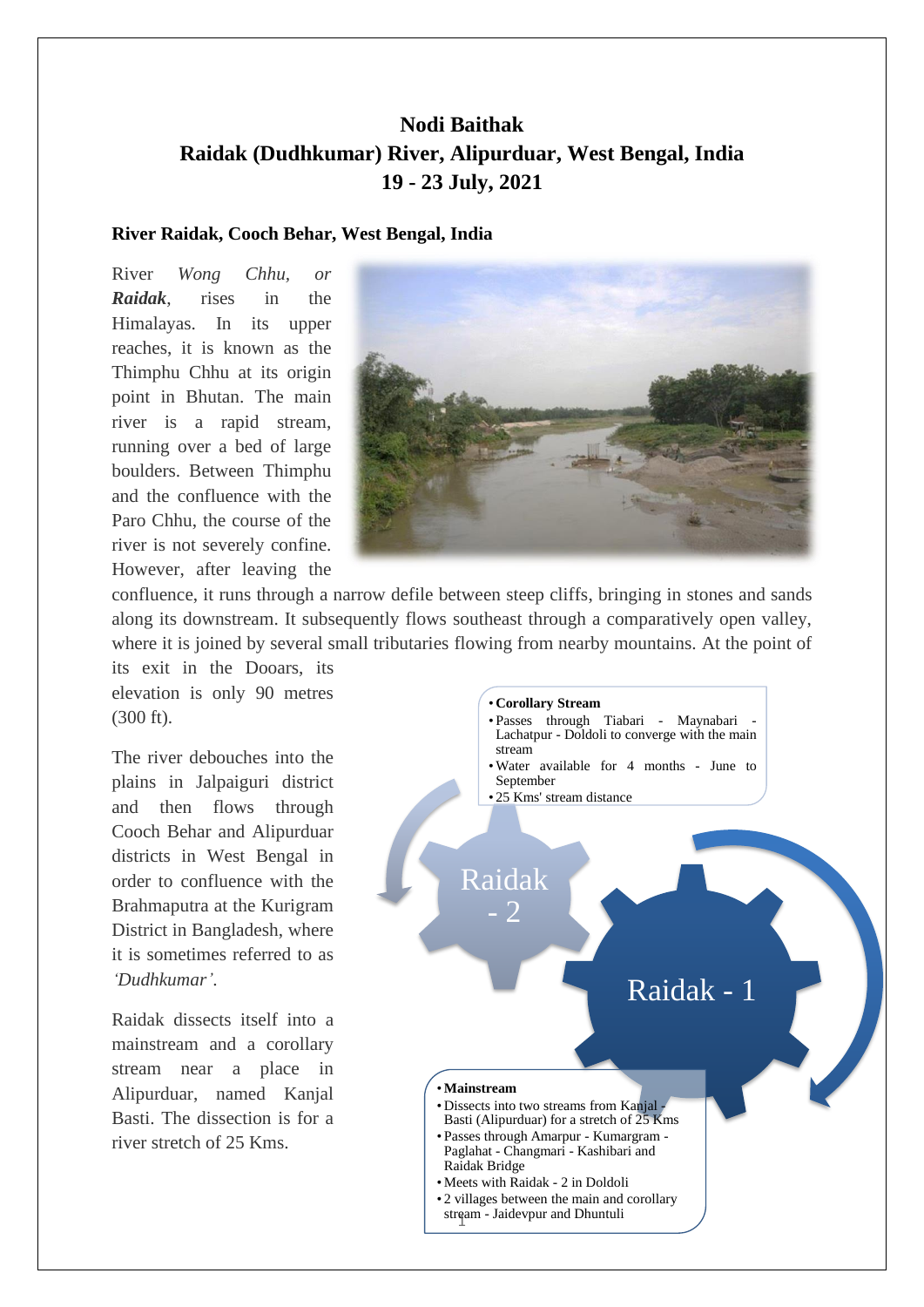# **Nodi Baithak Raidak (Dudhkumar) River, Alipurduar, West Bengal, India 19 - 23 July, 2021**

### **River Raidak, Cooch Behar, West Bengal, India**

River *Wong Chhu, or Raidak*, rises in the Himalayas. In its upper reaches, it is known as the Thimphu Chhu at its origin point in Bhutan. The main river is a rapid stream, running over a bed of large boulders. Between Thimphu and the confluence with the Paro Chhu, the course of the river is not severely confine. However, after leaving the



confluence, it runs through a narrow defile between steep cliffs, bringing in stones and sands along its downstream. It subsequently flows southeast through a comparatively open valley, where it is joined by several small tributaries flowing from nearby mountains. At the point of

its exit in the Dooars, its elevation is only 90 metres (300 ft).

The river debouches into the plains in Jalpaiguri district and then flows through Cooch Behar and Alipurduar districts in West Bengal in order to confluence with the Brahmaputra at the Kurigram District in Bangladesh, where it is sometimes referred to as *'Dudhkumar'*.

Raidak dissects itself into a mainstream and a corollary stream near a place in Alipurduar, named Kanjal Basti. The dissection is for a river stretch of 25 Kms.

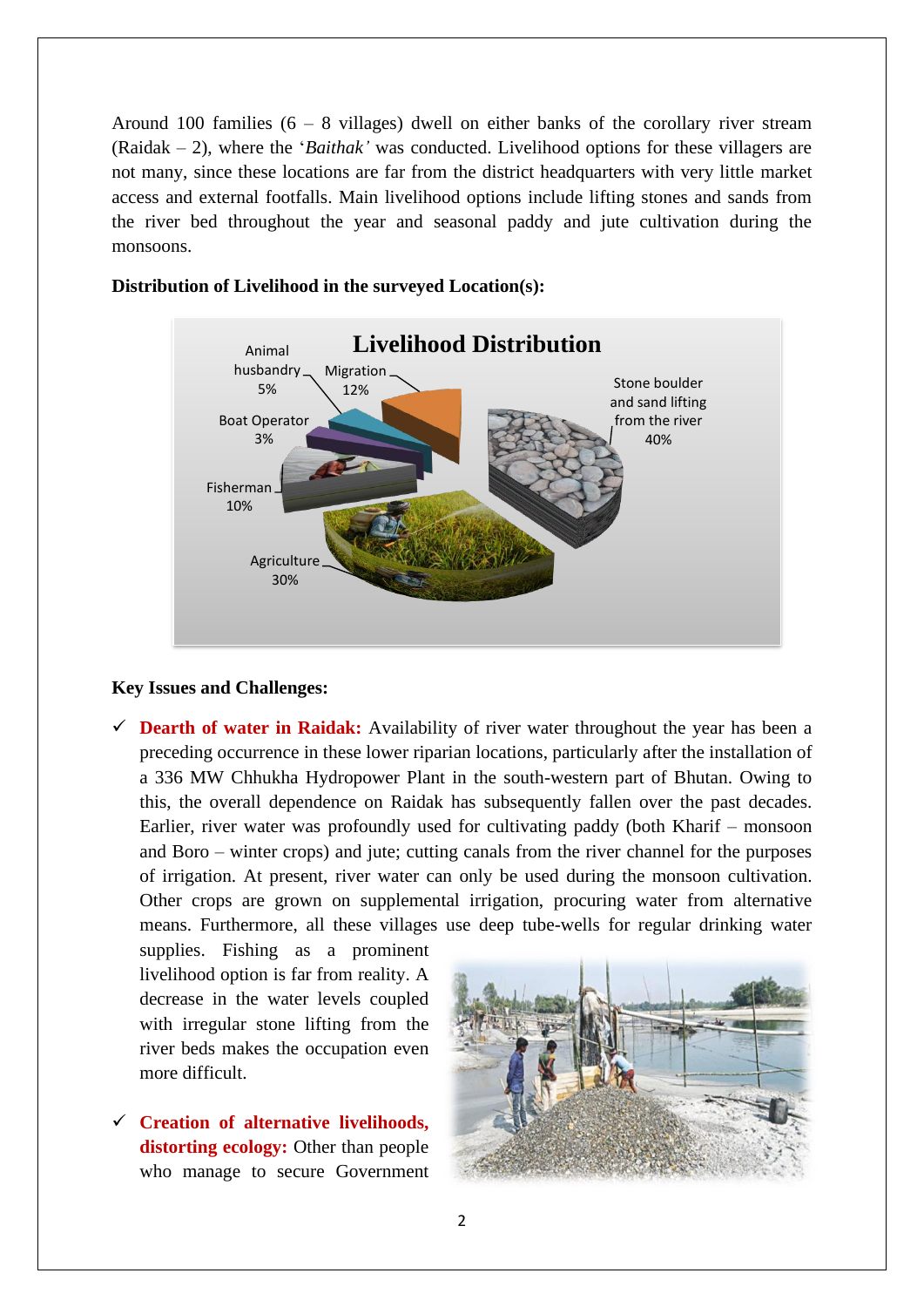Around 100 families  $(6 - 8)$  villages) dwell on either banks of the corollary river stream (Raidak – 2), where the '*Baithak'* was conducted. Livelihood options for these villagers are not many, since these locations are far from the district headquarters with very little market access and external footfalls. Main livelihood options include lifting stones and sands from the river bed throughout the year and seasonal paddy and jute cultivation during the monsoons.



## **Distribution of Livelihood in the surveyed Location(s):**

#### **Key Issues and Challenges:**

 $\checkmark$  **Dearth of water in Raidak:** Availability of river water throughout the year has been a preceding occurrence in these lower riparian locations, particularly after the installation of a 336 MW Chhukha Hydropower Plant in the south-western part of Bhutan. Owing to this, the overall dependence on Raidak has subsequently fallen over the past decades. Earlier, river water was profoundly used for cultivating paddy (both Kharif – monsoon and Boro – winter crops) and jute; cutting canals from the river channel for the purposes of irrigation. At present, river water can only be used during the monsoon cultivation. Other crops are grown on supplemental irrigation, procuring water from alternative means. Furthermore, all these villages use deep tube-wells for regular drinking water

supplies. Fishing as a prominent livelihood option is far from reality. A decrease in the water levels coupled with irregular stone lifting from the river beds makes the occupation even more difficult.

✓ **Creation of alternative livelihoods, distorting ecology:** Other than people who manage to secure Government

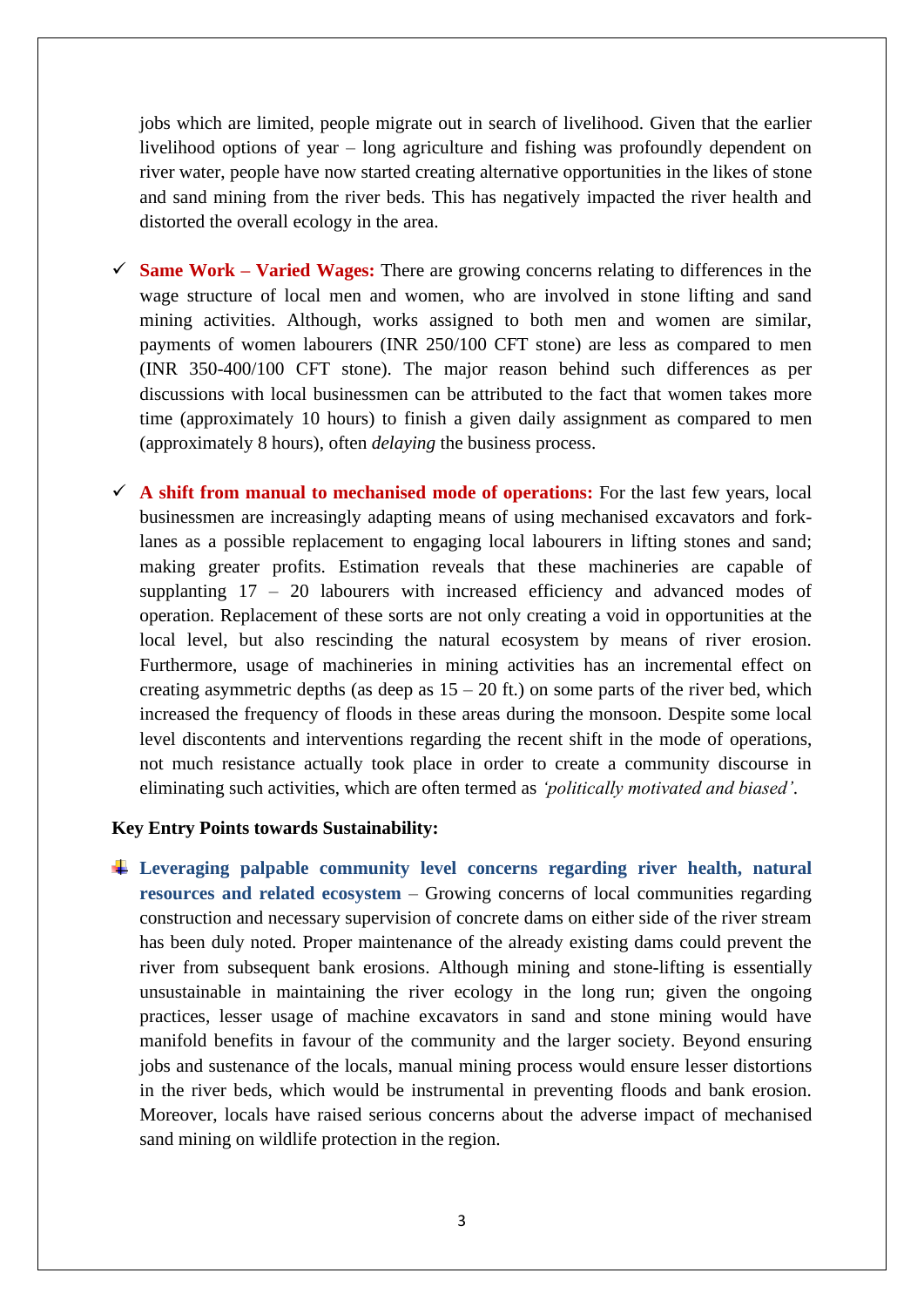jobs which are limited, people migrate out in search of livelihood. Given that the earlier livelihood options of year – long agriculture and fishing was profoundly dependent on river water, people have now started creating alternative opportunities in the likes of stone and sand mining from the river beds. This has negatively impacted the river health and distorted the overall ecology in the area.

- ✓ **Same Work – Varied Wages:** There are growing concerns relating to differences in the wage structure of local men and women, who are involved in stone lifting and sand mining activities. Although, works assigned to both men and women are similar, payments of women labourers (INR 250/100 CFT stone) are less as compared to men (INR 350-400/100 CFT stone). The major reason behind such differences as per discussions with local businessmen can be attributed to the fact that women takes more time (approximately 10 hours) to finish a given daily assignment as compared to men (approximately 8 hours), often *delaying* the business process.
- ✓ **A shift from manual to mechanised mode of operations:** For the last few years, local businessmen are increasingly adapting means of using mechanised excavators and forklanes as a possible replacement to engaging local labourers in lifting stones and sand; making greater profits. Estimation reveals that these machineries are capable of supplanting 17 – 20 labourers with increased efficiency and advanced modes of operation. Replacement of these sorts are not only creating a void in opportunities at the local level, but also rescinding the natural ecosystem by means of river erosion. Furthermore, usage of machineries in mining activities has an incremental effect on creating asymmetric depths (as deep as  $15 - 20$  ft.) on some parts of the river bed, which increased the frequency of floods in these areas during the monsoon. Despite some local level discontents and interventions regarding the recent shift in the mode of operations, not much resistance actually took place in order to create a community discourse in eliminating such activities, which are often termed as *'politically motivated and biased'*.

#### **Key Entry Points towards Sustainability:**

**Leveraging palpable community level concerns regarding river health, natural resources and related ecosystem** – Growing concerns of local communities regarding construction and necessary supervision of concrete dams on either side of the river stream has been duly noted. Proper maintenance of the already existing dams could prevent the river from subsequent bank erosions. Although mining and stone-lifting is essentially unsustainable in maintaining the river ecology in the long run; given the ongoing practices, lesser usage of machine excavators in sand and stone mining would have manifold benefits in favour of the community and the larger society. Beyond ensuring jobs and sustenance of the locals, manual mining process would ensure lesser distortions in the river beds, which would be instrumental in preventing floods and bank erosion. Moreover, locals have raised serious concerns about the adverse impact of mechanised sand mining on wildlife protection in the region.